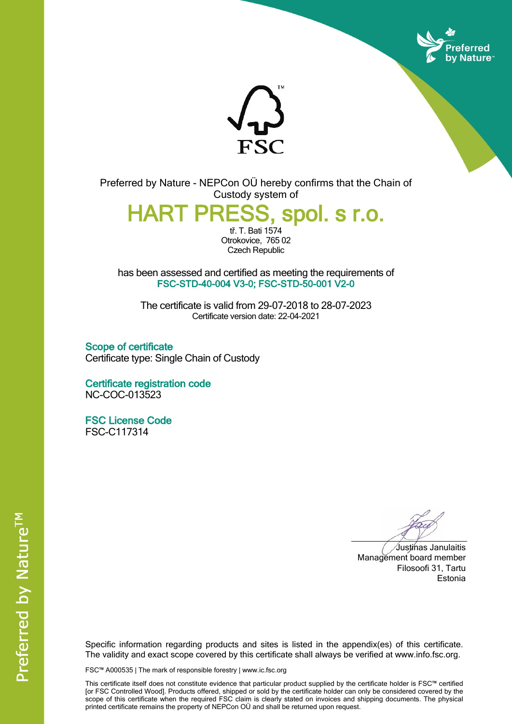



Preferred by Nature - NEPCon OÜ hereby confirms that the Chain of Custody system of

**HART PRESS, spol. s r.o.**

tř. T. Bati 1574 Otrokovice, 765 02 Czech Republic

has been assessed and certified as meeting the requirements of **FSC-STD-40-004 V3-0; FSC-STD-50-001 V2-0**

The certificate is valid from 29-07-2018 to 28-07-2023 Certificate version date: 22-04-2021

**Scope of certificate** Certificate type: Single Chain of Custody

**Certificate registration code** NC-COC-013523

**FSC License Code** FSC-C117314

Justinas Janulaitis Management board member Filosoofi 31, Tartu Estonia

Specific information regarding products and sites is listed in the appendix(es) of this certificate. The validity and exact scope covered by this certificate shall always be verified at www.info.fsc.org.

FSC™ A000535 | The mark of responsible forestry | www.ic.fsc.org

This certificate itself does not constitute evidence that particular product supplied by the certificate holder is FSC™ certified [or FSC Controlled Wood]. Products offered, shipped or sold by the certificate holder can only be considered covered by the scope of this certificate when the required FSC claim is clearly stated on invoices and shipping documents. The physical printed certificate remains the property of NEPCon OÜ and shall be returned upon request.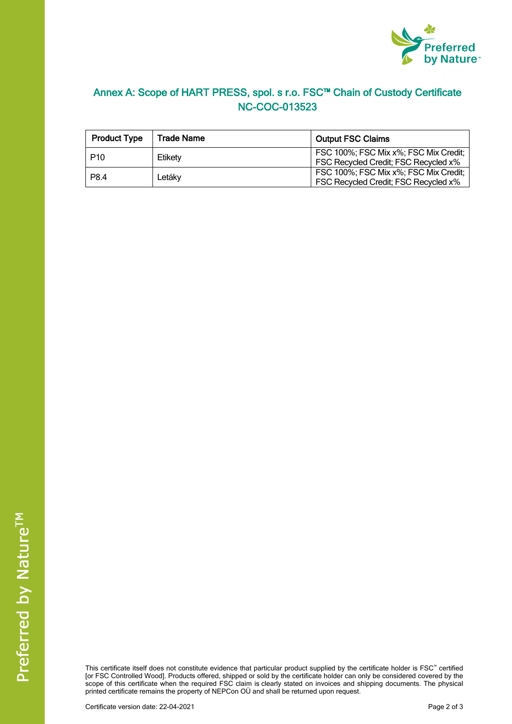

## **Annex A: Scope of HART PRESS, spol. s r.o. FSC™ Chain of Custody Certificate NC-COC-013523**

| <b>Product Type</b> | Trade Name | <b>Output FSC Claims</b>                                                      |  |
|---------------------|------------|-------------------------------------------------------------------------------|--|
| P <sub>10</sub>     | Etiketv    | FSC 100%; FSC Mix x%; FSC Mix Credit;<br>FSC Recycled Credit; FSC Recycled x% |  |
| P8.4                | Letákv     | FSC 100%; FSC Mix x%; FSC Mix Credit;<br>FSC Recycled Credit; FSC Recycled x% |  |

This certificate itself does not constitute evidence that particular product supplied by the certificate holder is FSC™ certified [or FSC Controlled Wood]. Products offered, shipped or sold by the certificate holder can only be considered covered by the scope of this certificate when the required FSC claim is clearly stated on invoices and shipping documents. The physical printed certificate remains the property of NEPCon OÜ and shall be returned upon request.